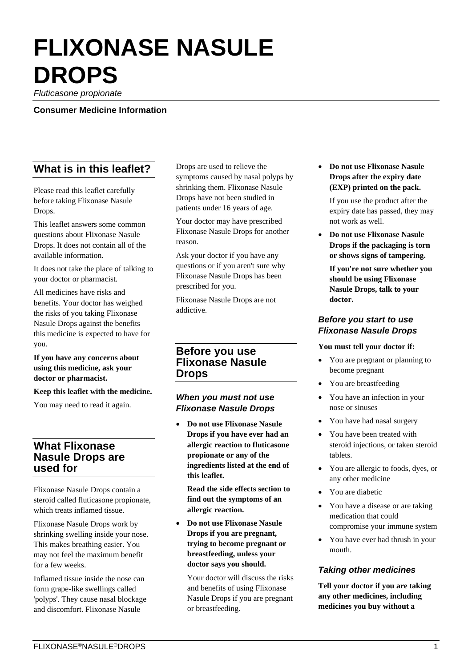# **FLIXONASE NASULE DROPS**

*Fluticasone propionate* 

**Consumer Medicine Information** 

## **What is in this leaflet?**

Please read this leaflet carefully before taking Flixonase Nasule Drops.

This leaflet answers some common questions about Flixonase Nasule Drops. It does not contain all of the available information.

It does not take the place of talking to your doctor or pharmacist.

All medicines have risks and benefits. Your doctor has weighed the risks of you taking Flixonase Nasule Drops against the benefits this medicine is expected to have for you.

#### **If you have any concerns about using this medicine, ask your doctor or pharmacist.**

#### **Keep this leaflet with the medicine.**

You may need to read it again.

## **What Flixonase Nasule Drops are used for**

Flixonase Nasule Drops contain a steroid called fluticasone propionate, which treats inflamed tissue.

Flixonase Nasule Drops work by shrinking swelling inside your nose. This makes breathing easier. You may not feel the maximum benefit for a few weeks.

Inflamed tissue inside the nose can form grape-like swellings called 'polyps'. They cause nasal blockage and discomfort. Flixonase Nasule

Drops are used to relieve the symptoms caused by nasal polyps by shrinking them. Flixonase Nasule Drops have not been studied in patients under 16 years of age.

Your doctor may have prescribed Flixonase Nasule Drops for another reason.

Ask your doctor if you have any questions or if you aren't sure why Flixonase Nasule Drops has been prescribed for you.

Flixonase Nasule Drops are not addictive.

## **Before you use Flixonase Nasule Drops**

## *When you must not use Flixonase Nasule Drops*

 **Do not use Flixonase Nasule Drops if you have ever had an allergic reaction to fluticasone propionate or any of the ingredients listed at the end of this leaflet.**

**Read the side effects section to find out the symptoms of an allergic reaction.**

 **Do not use Flixonase Nasule Drops if you are pregnant, trying to become pregnant or breastfeeding, unless your doctor says you should.**

Your doctor will discuss the risks and benefits of using Flixonase Nasule Drops if you are pregnant or breastfeeding.

 **Do not use Flixonase Nasule Drops after the expiry date (EXP) printed on the pack.**

If you use the product after the expiry date has passed, they may not work as well.

 **Do not use Flixonase Nasule Drops if the packaging is torn or shows signs of tampering.**

**If you're not sure whether you should be using Flixonase Nasule Drops, talk to your doctor.**

#### *Before you start to use Flixonase Nasule Drops*

#### **You must tell your doctor if:**

- You are pregnant or planning to become pregnant
- You are breastfeeding
- You have an infection in your nose or sinuses
- You have had nasal surgery
- You have been treated with steroid injections, or taken steroid tablets.
- You are allergic to foods, dyes, or any other medicine
- You are diabetic
- You have a disease or are taking medication that could compromise your immune system
- You have ever had thrush in your mouth.

#### *Taking other medicines*

**Tell your doctor if you are taking any other medicines, including medicines you buy without a**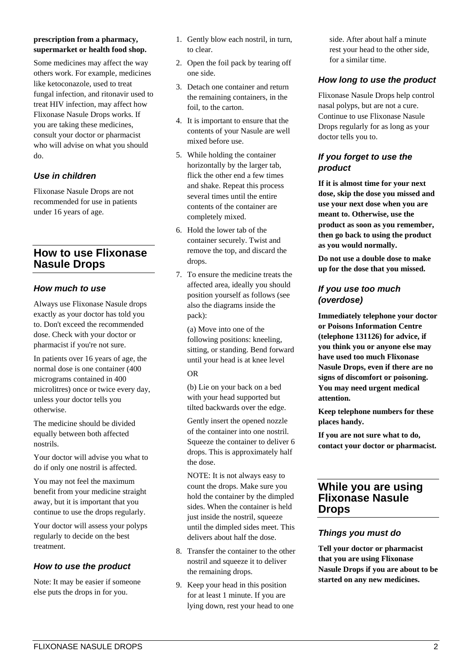#### **prescription from a pharmacy, supermarket or health food shop.**

Some medicines may affect the way others work. For example, medicines like ketoconazole, used to treat fungal infection, and ritonavir used to treat HIV infection, may affect how Flixonase Nasule Drops works. If you are taking these medicines, consult your doctor or pharmacist who will advise on what you should do.

## *Use in children*

Flixonase Nasule Drops are not recommended for use in patients under 16 years of age.

## **How to use Flixonase Nasule Drops**

## *How much to use*

Always use Flixonase Nasule drops exactly as your doctor has told you to. Don't exceed the recommended dose. Check with your doctor or pharmacist if you're not sure.

In patients over 16 years of age, the normal dose is one container (400 micrograms contained in 400 microlitres) once or twice every day, unless your doctor tells you otherwise.

The medicine should be divided equally between both affected nostrils.

Your doctor will advise you what to do if only one nostril is affected.

You may not feel the maximum benefit from your medicine straight away, but it is important that you continue to use the drops regularly.

Your doctor will assess your polyps regularly to decide on the best treatment.

## *How to use the product*

Note: It may be easier if someone else puts the drops in for you.

- 1. Gently blow each nostril, in turn, to clear.
- 2. Open the foil pack by tearing off one side.
- 3. Detach one container and return the remaining containers, in the foil, to the carton.
- 4. It is important to ensure that the contents of your Nasule are well mixed before use.
- 5. While holding the container horizontally by the larger tab, flick the other end a few times and shake. Repeat this process several times until the entire contents of the container are completely mixed.
- 6. Hold the lower tab of the container securely. Twist and remove the top, and discard the drops.
- 7. To ensure the medicine treats the affected area, ideally you should position yourself as follows (see also the diagrams inside the pack):

(a) Move into one of the following positions: kneeling, sitting, or standing. Bend forward until your head is at knee level OR

(b) Lie on your back on a bed with your head supported but tilted backwards over the edge.

Gently insert the opened nozzle of the container into one nostril. Squeeze the container to deliver 6 drops. This is approximately half the dose.

NOTE: It is not always easy to count the drops. Make sure you hold the container by the dimpled sides. When the container is held just inside the nostril, squeeze until the dimpled sides meet. This delivers about half the dose.

- 8. Transfer the container to the other nostril and squeeze it to deliver the remaining drops.
- 9. Keep your head in this position for at least 1 minute. If you are lying down, rest your head to one

side. After about half a minute rest your head to the other side, for a similar time.

## *How long to use the product*

Flixonase Nasule Drops help control nasal polyps, but are not a cure. Continue to use Flixonase Nasule Drops regularly for as long as your doctor tells you to.

## *If you forget to use the product*

**If it is almost time for your next dose, skip the dose you missed and use your next dose when you are meant to. Otherwise, use the product as soon as you remember, then go back to using the product as you would normally.**

**Do not use a double dose to make up for the dose that you missed.**

#### *If you use too much (overdose)*

**Immediately telephone your doctor or Poisons Information Centre (telephone 131126) for advice, if you think you or anyone else may have used too much Flixonase Nasule Drops, even if there are no signs of discomfort or poisoning. You may need urgent medical attention.**

**Keep telephone numbers for these places handy.**

**If you are not sure what to do, contact your doctor or pharmacist.**

## **While you are using Flixonase Nasule Drops**

## *Things you must do*

**Tell your doctor or pharmacist that you are using Flixonase Nasule Drops if you are about to be started on any new medicines.**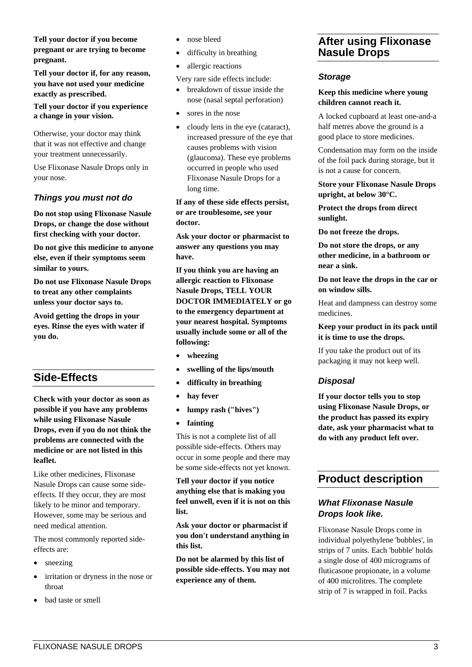**Tell your doctor if you become pregnant or are trying to become pregnant.**

**Tell your doctor if, for any reason, you have not used your medicine exactly as prescribed.** 

**Tell your doctor if you experience a change in your vision.** 

Otherwise, your doctor may think that it was not effective and change your treatment unnecessarily.

Use Flixonase Nasule Drops only in your nose.

#### *Things you must not do*

**Do not stop using Flixonase Nasule Drops, or change the dose without first checking with your doctor.**

**Do not give this medicine to anyone else, even if their symptoms seem similar to yours.**

**Do not use Flixonase Nasule Drops to treat any other complaints unless your doctor says to.**

**Avoid getting the drops in your eyes. Rinse the eyes with water if you do.**

## **Side-Effects**

**Check with your doctor as soon as possible if you have any problems while using Flixonase Nasule Drops, even if you do not think the problems are connected with the medicine or are not listed in this leaflet.**

Like other medicines, Flixonase Nasule Drops can cause some sideeffects. If they occur, they are most likely to be minor and temporary. However, some may be serious and need medical attention.

The most commonly reported sideeffects are:

- sneezing
- irritation or dryness in the nose or throat
- bad taste or smell
- nose bleed
- difficulty in breathing
- allergic reactions

Very rare side effects include:

- breakdown of tissue inside the nose (nasal septal perforation)
- sores in the nose
- cloudy lens in the eye (cataract), increased pressure of the eye that causes problems with vision (glaucoma). These eye problems occurred in people who used Flixonase Nasule Drops for a long time.

#### **If any of these side effects persist, or are troublesome, see your doctor.**

**Ask your doctor or pharmacist to answer any questions you may have.**

**If you think you are having an allergic reaction to Flixonase Nasule Drops, TELL YOUR DOCTOR IMMEDIATELY or go to the emergency department at your nearest hospital. Symptoms usually include some or all of the following:**

- **wheezing**
- **swelling of the lips/mouth**
- **difficulty in breathing**
- **hay fever**
- **lumpy rash ("hives")**
- **fainting**

This is not a complete list of all possible side-effects. Others may occur in some people and there may be some side-effects not yet known.

**Tell your doctor if you notice anything else that is making you feel unwell, even if it is not on this list.**

**Ask your doctor or pharmacist if you don't understand anything in this list.**

**Do not be alarmed by this list of possible side-effects. You may not experience any of them.**

## **After using Flixonase Nasule Drops**

#### *Storage*

#### **Keep this medicine where young children cannot reach it.**

A locked cupboard at least one-and-a half metres above the ground is a good place to store medicines.

Condensation may form on the inside of the foil pack during storage, but it is not a cause for concern.

**Store your Flixonase Nasule Drops upright, at below 30°C.**

**Protect the drops from direct sunlight.**

**Do not freeze the drops.**

**Do not store the drops, or any other medicine, in a bathroom or near a sink.**

**Do not leave the drops in the car or on window sills.**

Heat and dampness can destroy some medicines.

**Keep your product in its pack until it is time to use the drops.**

If you take the product out of its packaging it may not keep well.

## *Disposal*

**If your doctor tells you to stop using Flixonase Nasule Drops, or the product has passed its expiry date, ask your pharmacist what to do with any product left over.**

## **Product description**

## *What Flixonase Nasule Drops look like.*

Flixonase Nasule Drops come in individual polyethylene 'bubbles', in strips of 7 units. Each 'bubble' holds a single dose of 400 micrograms of fluticasone propionate, in a volume of 400 microlitres. The complete strip of 7 is wrapped in foil. Packs